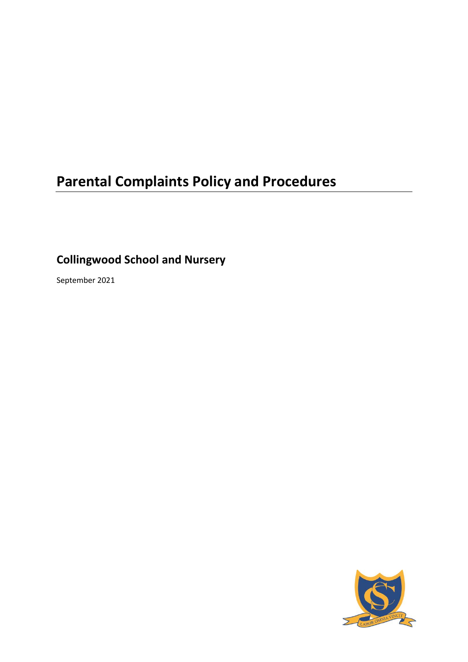# **Parental Complaints Policy and Procedures**

**Collingwood School and Nursery**

September 2021

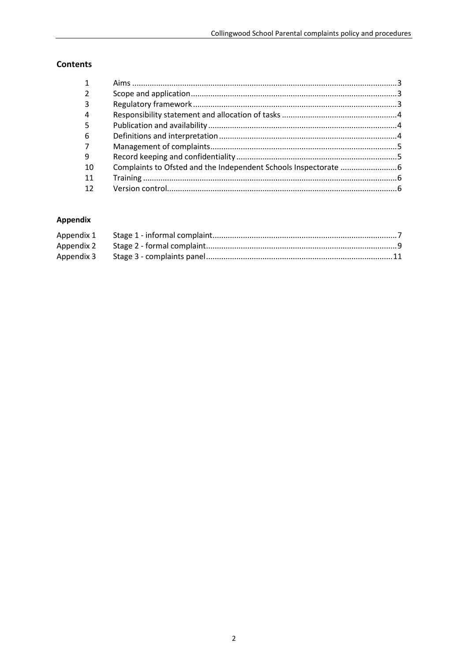## Contents

| 3   |  |
|-----|--|
| 4   |  |
| .5  |  |
| 6   |  |
|     |  |
| 9   |  |
| -10 |  |
| 11  |  |
| 12  |  |
|     |  |

## Appendix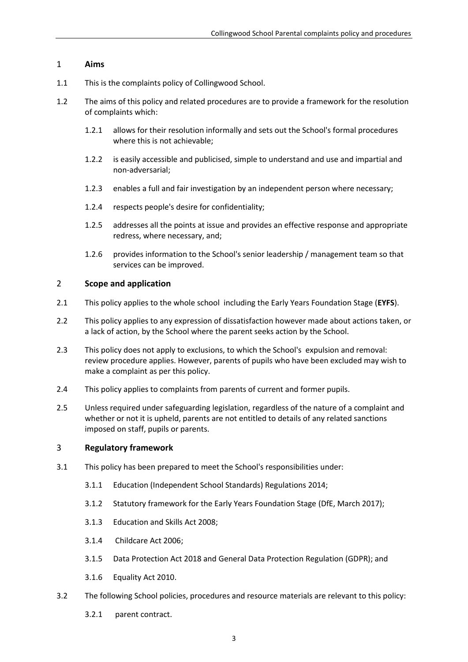#### <span id="page-2-0"></span>1 **Aims**

- 1.1 This is the complaints policy of Collingwood School.
- 1.2 The aims of this policy and related procedures are to provide a framework for the resolution of complaints which:
	- 1.2.1 allows for their resolution informally and sets out the School's formal procedures where this is not achievable;
	- 1.2.2 is easily accessible and publicised, simple to understand and use and impartial and non-adversarial;
	- 1.2.3 enables a full and fair investigation by an independent person where necessary;
	- 1.2.4 respects people's desire for confidentiality;
	- 1.2.5 addresses all the points at issue and provides an effective response and appropriate redress, where necessary, and;
	- 1.2.6 provides information to the School's senior leadership / management team so that services can be improved.

#### <span id="page-2-1"></span>2 **Scope and application**

- 2.1 This policy applies to the whole school including the Early Years Foundation Stage (**EYFS**).
- 2.2 This policy applies to any expression of dissatisfaction however made about actions taken, or a lack of action, by the School where the parent seeks action by the School.
- 2.3 This policy does not apply to exclusions, to which the School's expulsion and removal: review procedure applies. However, parents of pupils who have been excluded may wish to make a complaint as per this policy.
- 2.4 This policy applies to complaints from parents of current and former pupils.
- 2.5 Unless required under safeguarding legislation, regardless of the nature of a complaint and whether or not it is upheld, parents are not entitled to details of any related sanctions imposed on staff, pupils or parents.

#### <span id="page-2-2"></span>3 **Regulatory framework**

- 3.1 This policy has been prepared to meet the School's responsibilities under:
	- 3.1.1 Education (Independent School Standards) Regulations 2014;
	- 3.1.2 Statutory framework for the Early Years Foundation Stage (DfE, March 2017);
	- 3.1.3 Education and Skills Act 2008;
	- 3.1.4 Childcare Act 2006;
	- 3.1.5 Data Protection Act 2018 and General Data Protection Regulation (GDPR); and
	- 3.1.6 Equality Act 2010.
- 3.2 The following School policies, procedures and resource materials are relevant to this policy:
	- 3.2.1 parent contract.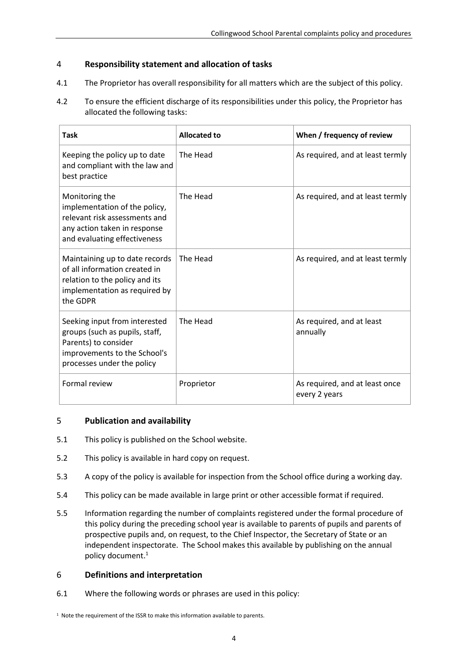## <span id="page-3-0"></span>4 **Responsibility statement and allocation of tasks**

- 4.1 The Proprietor has overall responsibility for all matters which are the subject of this policy.
- 4.2 To ensure the efficient discharge of its responsibilities under this policy, the Proprietor has allocated the following tasks:

| Task                                                                                                                                                  | <b>Allocated to</b> | When / frequency of review                      |
|-------------------------------------------------------------------------------------------------------------------------------------------------------|---------------------|-------------------------------------------------|
| Keeping the policy up to date<br>and compliant with the law and<br>best practice                                                                      | The Head            | As required, and at least termly                |
| Monitoring the<br>implementation of the policy,<br>relevant risk assessments and<br>any action taken in response<br>and evaluating effectiveness      | The Head            | As required, and at least termly                |
| Maintaining up to date records<br>of all information created in<br>relation to the policy and its<br>implementation as required by<br>the GDPR        | The Head            | As required, and at least termly                |
| Seeking input from interested<br>groups (such as pupils, staff,<br>Parents) to consider<br>improvements to the School's<br>processes under the policy | The Head            | As required, and at least<br>annually           |
| <b>Formal review</b>                                                                                                                                  | Proprietor          | As required, and at least once<br>every 2 years |

## <span id="page-3-1"></span>5 **Publication and availability**

- 5.1 This policy is published on the School website.
- 5.2 This policy is available in hard copy on request.
- 5.3 A copy of the policy is available for inspection from the School office during a working day.
- 5.4 This policy can be made available in large print or other accessible format if required.
- 5.5 Information regarding the number of complaints registered under the formal procedure of this policy during the preceding school year is available to parents of pupils and parents of prospective pupils and, on request, to the Chief Inspector, the Secretary of State or an independent inspectorate. The School makes this available by publishing on the annual policy document. 1

## <span id="page-3-2"></span>6 **Definitions and interpretation**

6.1 Where the following words or phrases are used in this policy:

<sup>&</sup>lt;sup>1</sup> Note the requirement of the ISSR to make this information available to parents.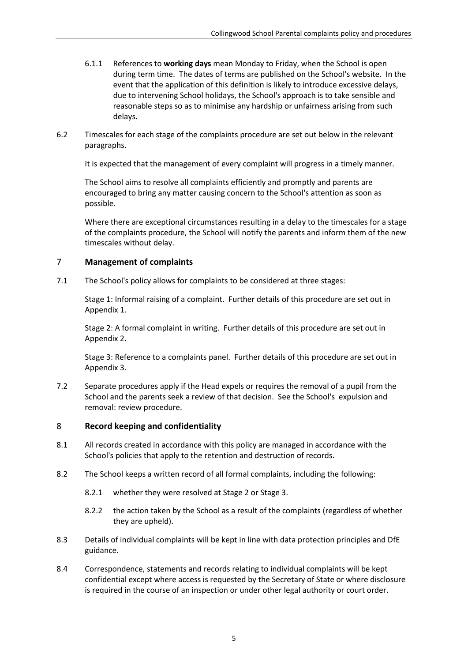- 6.1.1 References to **working days** mean Monday to Friday, when the School is open during term time. The dates of terms are published on the School's website. In the event that the application of this definition is likely to introduce excessive delays, due to intervening School holidays, the School's approach is to take sensible and reasonable steps so as to minimise any hardship or unfairness arising from such delays.
- 6.2 Timescales for each stage of the complaints procedure are set out below in the relevant paragraphs.

It is expected that the management of every complaint will progress in a timely manner.

The School aims to resolve all complaints efficiently and promptly and parents are encouraged to bring any matter causing concern to the School's attention as soon as possible.

Where there are exceptional circumstances resulting in a delay to the timescales for a stage of the complaints procedure, the School will notify the parents and inform them of the new timescales without delay.

#### <span id="page-4-0"></span>7 **Management of complaints**

7.1 The School's policy allows for complaints to be considered at three stages:

Stage 1: Informal raising of a complaint. Further details of this procedure are set out in [Appendix 1.](#page-6-0)

Stage 2: A formal complaint in writing. Further details of this procedure are set out in [Appendix 2.](#page-8-0)

Stage 3: Reference to a complaints panel. Further details of this procedure are set out in [Appendix 3.](#page-10-0)

7.2 Separate procedures apply if the Head expels or requires the removal of a pupil from the School and the parents seek a review of that decision. See the School's expulsion and removal: review procedure.

## <span id="page-4-1"></span>8 **Record keeping and confidentiality**

- 8.1 All records created in accordance with this policy are managed in accordance with the School's policies that apply to the retention and destruction of records.
- 8.2 The School keeps a written record of all formal complaints, including the following:
	- 8.2.1 whether they were resolved at Stage 2 or Stage 3.
	- 8.2.2 the action taken by the School as a result of the complaints (regardless of whether they are upheld).
- 8.3 Details of individual complaints will be kept in line with data protection principles and DfE guidance.
- 8.4 Correspondence, statements and records relating to individual complaints will be kept confidential except where access is requested by the Secretary of State or where disclosure is required in the course of an inspection or under other legal authority or court order.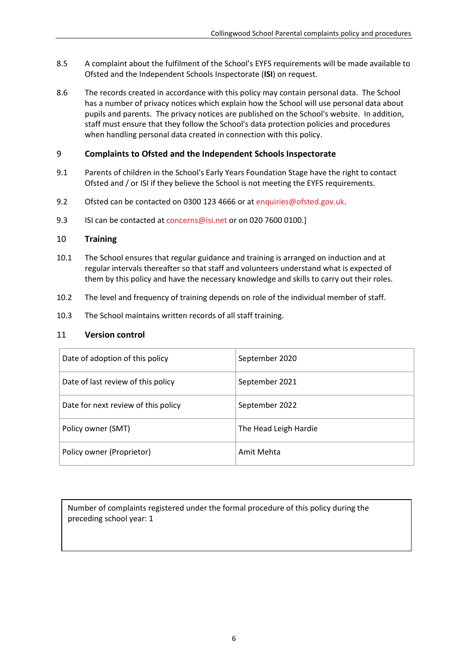- 8.5 A complaint about the fulfilment of the School's EYFS requirements will be made available to Ofsted and the Independent Schools Inspectorate (**ISI**) on request.
- 8.6 The records created in accordance with this policy may contain personal data. The School has a number of privacy notices which explain how the School will use personal data about pupils and parents. The privacy notices are published on the School's website. In addition, staff must ensure that they follow the School's data protection policies and procedures when handling personal data created in connection with this policy.

## <span id="page-5-0"></span>9 **Complaints to Ofsted and the Independent Schools Inspectorate**

- 9.1 Parents of children in the School's Early Years Foundation Stage have the right to contact Ofsted and / or ISI if they believe the School is not meeting the EYFS requirements.
- 9.2 Ofsted can be contacted on 0300 123 4666 or at [enquiries@ofsted.gov.uk.](mailto:enquiries@ofsted.gov.uk)
- 9.3 ISI can be contacted a[t concerns@isi.net](mailto:concerns@isi.net) or on 020 7600 0100.]

## <span id="page-5-1"></span>10 **Training**

- 10.1 The School ensures that regular guidance and training is arranged on induction and at regular intervals thereafter so that staff and volunteers understand what is expected of them by this policy and have the necessary knowledge and skills to carry out their roles.
- 10.2 The level and frequency of training depends on role of the individual member of staff.
- 10.3 The School maintains written records of all staff training.

### <span id="page-5-2"></span>11 **Version control**

| Date of adoption of this policy     | September 2020        |  |
|-------------------------------------|-----------------------|--|
| Date of last review of this policy  | September 2021        |  |
| Date for next review of this policy | September 2022        |  |
| Policy owner (SMT)                  | The Head Leigh Hardie |  |
| Policy owner (Proprietor)           | Amit Mehta            |  |

Number of complaints registered under the formal procedure of this policy during the preceding school year: 1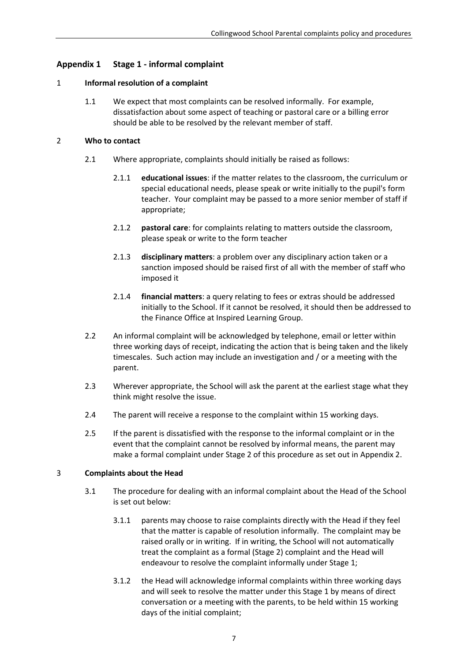## <span id="page-6-0"></span>**Appendix 1 Stage 1 - informal complaint**

#### 1 **Informal resolution of a complaint**

1.1 We expect that most complaints can be resolved informally. For example, dissatisfaction about some aspect of teaching or pastoral care or a billing error should be able to be resolved by the relevant member of staff.

#### 2 **Who to contact**

- 2.1 Where appropriate, complaints should initially be raised as follows:
	- 2.1.1 **educational issues**: if the matter relates to the classroom, the curriculum or special educational needs, please speak or write initially to the pupil's form teacher. Your complaint may be passed to a more senior member of staff if appropriate;
	- 2.1.2 **pastoral care**: for complaints relating to matters outside the classroom, please speak or write to the form teacher
	- 2.1.3 **disciplinary matters**: a problem over any disciplinary action taken or a sanction imposed should be raised first of all with the member of staff who imposed it
	- 2.1.4 **financial matters**: a query relating to fees or extras should be addressed initially to the School. If it cannot be resolved, it should then be addressed to the Finance Office at Inspired Learning Group.
- 2.2 An informal complaint will be acknowledged by telephone, email or letter within three working days of receipt, indicating the action that is being taken and the likely timescales. Such action may include an investigation and / or a meeting with the parent.
- 2.3 Wherever appropriate, the School will ask the parent at the earliest stage what they think might resolve the issue.
- 2.4 The parent will receive a response to the complaint within 15 working days.
- 2.5 If the parent is dissatisfied with the response to the informal complaint or in the event that the complaint cannot be resolved by informal means, the parent may make a formal complaint under Stage 2 of this procedure as set out in [Appendix 2.](#page-8-0)

#### 3 **Complaints about the Head**

- 3.1 The procedure for dealing with an informal complaint about the Head of the School is set out below:
	- 3.1.1 parents may choose to raise complaints directly with the Head if they feel that the matter is capable of resolution informally. The complaint may be raised orally or in writing. If in writing, the School will not automatically treat the complaint as a formal (Stage 2) complaint and the Head will endeavour to resolve the complaint informally under Stage 1;
	- 3.1.2 the Head will acknowledge informal complaints within three working days and will seek to resolve the matter under this Stage 1 by means of direct conversation or a meeting with the parents, to be held within 15 working days of the initial complaint;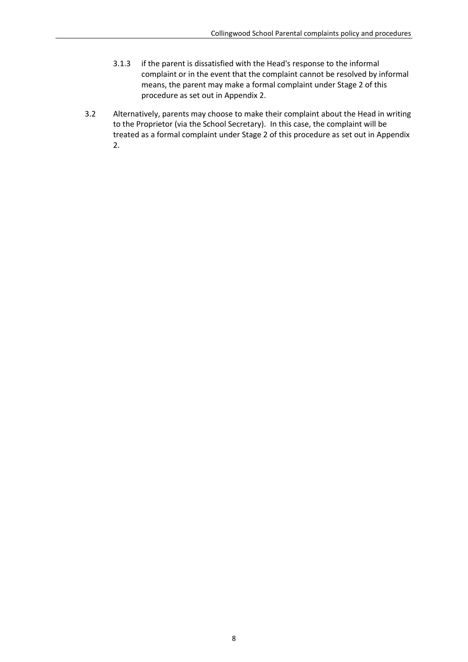- 3.1.3 if the parent is dissatisfied with the Head's response to the informal complaint or in the event that the complaint cannot be resolved by informal means, the parent may make a formal complaint under Stage 2 of this procedure as set out i[n Appendix 2.](#page-8-0)
- 3.2 Alternatively, parents may choose to make their complaint about the Head in writing to the Proprietor (via the School Secretary). In this case, the complaint will be treated as a formal complaint under Stage 2 of this procedure as set out in [Appendix](#page-8-0)  [2.](#page-8-0)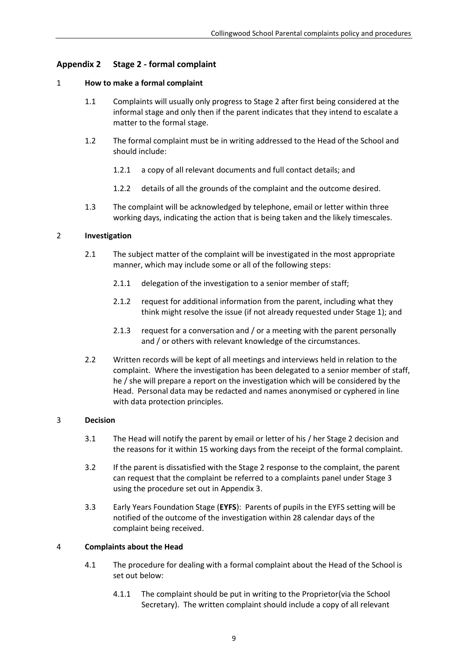## <span id="page-8-0"></span>**Appendix 2 Stage 2 - formal complaint**

#### 1 **How to make a formal complaint**

- 1.1 Complaints will usually only progress to Stage 2 after first being considered at the informal stage and only then if the parent indicates that they intend to escalate a matter to the formal stage.
- 1.2 The formal complaint must be in writing addressed to the Head of the School and should include:
	- 1.2.1 a copy of all relevant documents and full contact details; and
	- 1.2.2 details of all the grounds of the complaint and the outcome desired.
- 1.3 The complaint will be acknowledged by telephone, email or letter within three working days, indicating the action that is being taken and the likely timescales.

#### 2 **Investigation**

- 2.1 The subject matter of the complaint will be investigated in the most appropriate manner, which may include some or all of the following steps:
	- 2.1.1 delegation of the investigation to a senior member of staff;
	- 2.1.2 request for additional information from the parent, including what they think might resolve the issue (if not already requested under Stage 1); and
	- 2.1.3 request for a conversation and / or a meeting with the parent personally and / or others with relevant knowledge of the circumstances.
- 2.2 Written records will be kept of all meetings and interviews held in relation to the complaint. Where the investigation has been delegated to a senior member of staff, he / she will prepare a report on the investigation which will be considered by the Head. Personal data may be redacted and names anonymised or cyphered in line with data protection principles.

#### 3 **Decision**

- 3.1 The Head will notify the parent by email or letter of his / her Stage 2 decision and the reasons for it within 15 working days from the receipt of the formal complaint.
- 3.2 If the parent is dissatisfied with the Stage 2 response to the complaint, the parent can request that the complaint be referred to a complaints panel under Stage 3 using the procedure set out in [Appendix 3.](#page-10-0)
- 3.3 Early Years Foundation Stage (**EYFS**): Parents of pupils in the EYFS setting will be notified of the outcome of the investigation within 28 calendar days of the complaint being received.

#### 4 **Complaints about the Head**

- 4.1 The procedure for dealing with a formal complaint about the Head of the School is set out below:
	- 4.1.1 The complaint should be put in writing to the Proprietor(via the School Secretary). The written complaint should include a copy of all relevant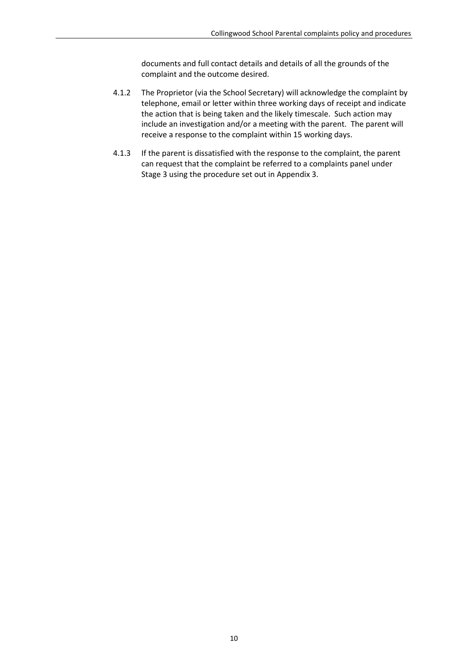documents and full contact details and details of all the grounds of the complaint and the outcome desired.

- 4.1.2 The Proprietor (via the School Secretary) will acknowledge the complaint by telephone, email or letter within three working days of receipt and indicate the action that is being taken and the likely timescale. Such action may include an investigation and/or a meeting with the parent. The parent will receive a response to the complaint within 15 working days.
- 4.1.3 If the parent is dissatisfied with the response to the complaint, the parent can request that the complaint be referred to a complaints panel under Stage 3 using the procedure set out in [Appendix 3.](#page-10-0)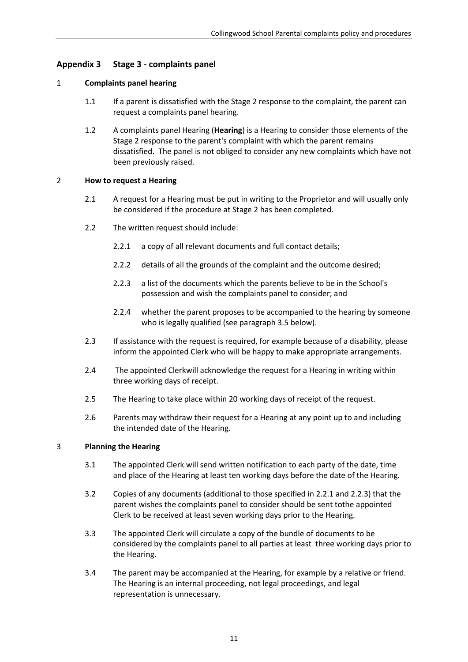## <span id="page-10-0"></span>**Appendix 3 Stage 3 - complaints panel**

#### 1 **Complaints panel hearing**

- 1.1 If a parent is dissatisfied with the Stage 2 response to the complaint, the parent can request a complaints panel hearing.
- 1.2 A complaints panel Hearing (**Hearing**) is a Hearing to consider those elements of the Stage 2 response to the parent's complaint with which the parent remains dissatisfied. The panel is not obliged to consider any new complaints which have not been previously raised.

#### 2 **How to request a Hearing**

- 2.1 A request for a Hearing must be put in writing to the Proprietor and will usually only be considered if the procedure at Stage 2 has been completed.
- 2.2 The written request should include:
	- 2.2.1 a copy of all relevant documents and full contact details;
	- 2.2.2 details of all the grounds of the complaint and the outcome desired;
	- 2.2.3 a list of the documents which the parents believe to be in the School's possession and wish the complaints panel to consider; and
	- 2.2.4 whether the parent proposes to be accompanied to the hearing by someone who is legally qualified (see paragraph [3.5](#page-11-0) below).
- <span id="page-10-1"></span>2.3 If assistance with the request is required, for example because of a disability, please inform the appointed Clerk who will be happy to make appropriate arrangements.
- 2.4 The appointed Clerkwill acknowledge the request for a Hearing in writing within three working days of receipt.
- 2.5 The Hearing to take place within 20 working days of receipt of the request.
- 2.6 Parents may withdraw their request for a Hearing at any point up to and including the intended date of the Hearing.

#### 3 **Planning the Hearing**

- 3.1 The appointed Clerk will send written notification to each party of the date, time and place of the Hearing at least ten working days before the date of the Hearing.
- 3.2 Copies of any documents (additional to those specified in 2.2.1 and 2.2.3) that the parent wishes the complaints panel to consider should be sent tothe appointed Clerk to be received at least seven working days prior to the Hearing.
- 3.3 The appointed Clerk will circulate a copy of the bundle of documents to be considered by the complaints panel to all parties at least three working days prior to the Hearing.
- 3.4 The parent may be accompanied at the Hearing, for example by a relative or friend. The Hearing is an internal proceeding, not legal proceedings, and legal representation is unnecessary.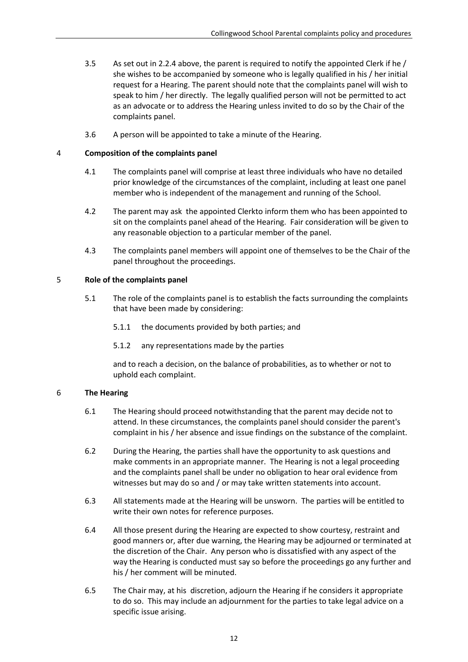- <span id="page-11-0"></span>3.5 As set out i[n 2.2.4](#page-10-1) above, the parent is required to notify the appointed Clerk if he / she wishes to be accompanied by someone who is legally qualified in his / her initial request for a Hearing. The parent should note that the complaints panel will wish to speak to him / her directly. The legally qualified person will not be permitted to act as an advocate or to address the Hearing unless invited to do so by the Chair of the complaints panel.
- 3.6 A person will be appointed to take a minute of the Hearing.

#### 4 **Composition of the complaints panel**

- 4.1 The complaints panel will comprise at least three individuals who have no detailed prior knowledge of the circumstances of the complaint, including at least one panel member who is independent of the management and running of the School.
- 4.2 The parent may ask the appointed Clerkto inform them who has been appointed to sit on the complaints panel ahead of the Hearing. Fair consideration will be given to any reasonable objection to a particular member of the panel.
- 4.3 The complaints panel members will appoint one of themselves to be the Chair of the panel throughout the proceedings.

#### 5 **Role of the complaints panel**

- 5.1 The role of the complaints panel is to establish the facts surrounding the complaints that have been made by considering:
	- 5.1.1 the documents provided by both parties; and
	- 5.1.2 any representations made by the parties

and to reach a decision, on the balance of probabilities, as to whether or not to uphold each complaint.

#### 6 **The Hearing**

- 6.1 The Hearing should proceed notwithstanding that the parent may decide not to attend. In these circumstances, the complaints panel should consider the parent's complaint in his / her absence and issue findings on the substance of the complaint.
- 6.2 During the Hearing, the parties shall have the opportunity to ask questions and make comments in an appropriate manner. The Hearing is not a legal proceeding and the complaints panel shall be under no obligation to hear oral evidence from witnesses but may do so and / or may take written statements into account.
- 6.3 All statements made at the Hearing will be unsworn. The parties will be entitled to write their own notes for reference purposes.
- 6.4 All those present during the Hearing are expected to show courtesy, restraint and good manners or, after due warning, the Hearing may be adjourned or terminated at the discretion of the Chair. Any person who is dissatisfied with any aspect of the way the Hearing is conducted must say so before the proceedings go any further and his / her comment will be minuted.
- 6.5 The Chair may, at his discretion, adjourn the Hearing if he considers it appropriate to do so. This may include an adjournment for the parties to take legal advice on a specific issue arising.